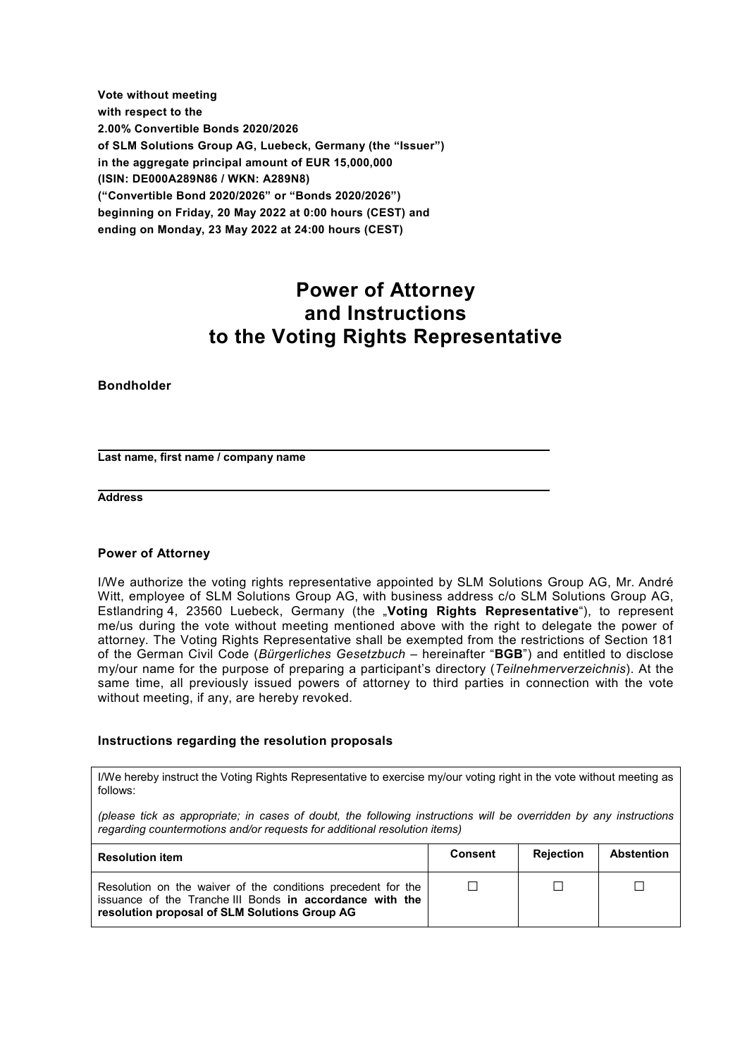**Vote without meeting with respect to the 2.00% Convertible Bonds 2020/2026 of SLM Solutions Group AG, Luebeck, Germany (the "Issuer") in the aggregate principal amount of EUR 15,000,000 (ISIN: DE000A289N86 / WKN: A289N8) ("Convertible Bond 2020/2026" or "Bonds 2020/2026") beginning on Friday, 20 May 2022 at 0:00 hours (CEST) and ending on Monday, 23 May 2022 at 24:00 hours (CEST)** 

# **Power of Attorney and Instructions to the Voting Rights Representative**

**Bondholder**

**Last name, first name / company name** 

**Address** 

#### **Power of Attorney**

I/We authorize the voting rights representative appointed by SLM Solutions Group AG, Mr. André Witt, employee of SLM Solutions Group AG, with business address c/o SLM Solutions Group AG, Estlandring 4, 23560 Luebeck, Germany (the "**Voting Rights Representative**"), to represent me/us during the vote without meeting mentioned above with the right to delegate the power of attorney. The Voting Rights Representative shall be exempted from the restrictions of Section 181 of the German Civil Code (*Bürgerliches Gesetzbuch* – hereinafter "**BGB**") and entitled to disclose my/our name for the purpose of preparing a participant's directory (*Teilnehmerverzeichnis*). At the same time, all previously issued powers of attorney to third parties in connection with the vote without meeting, if any, are hereby revoked.

#### **Instructions regarding the resolution proposals**

I/We hereby instruct the Voting Rights Representative to exercise my/our voting right in the vote without meeting as follows:

*(please tick as appropriate; in cases of doubt, the following instructions will be overridden by any instructions regarding countermotions and/or requests for additional resolution items)* 

| <b>Resolution item</b>                                                                                                                                                    | <b>Consent</b> | <b>Rejection</b> | <b>Abstention</b> |
|---------------------------------------------------------------------------------------------------------------------------------------------------------------------------|----------------|------------------|-------------------|
| Resolution on the waiver of the conditions precedent for the<br>issuance of the Tranche III Bonds in accordance with the<br>resolution proposal of SLM Solutions Group AG |                |                  | $\Box$            |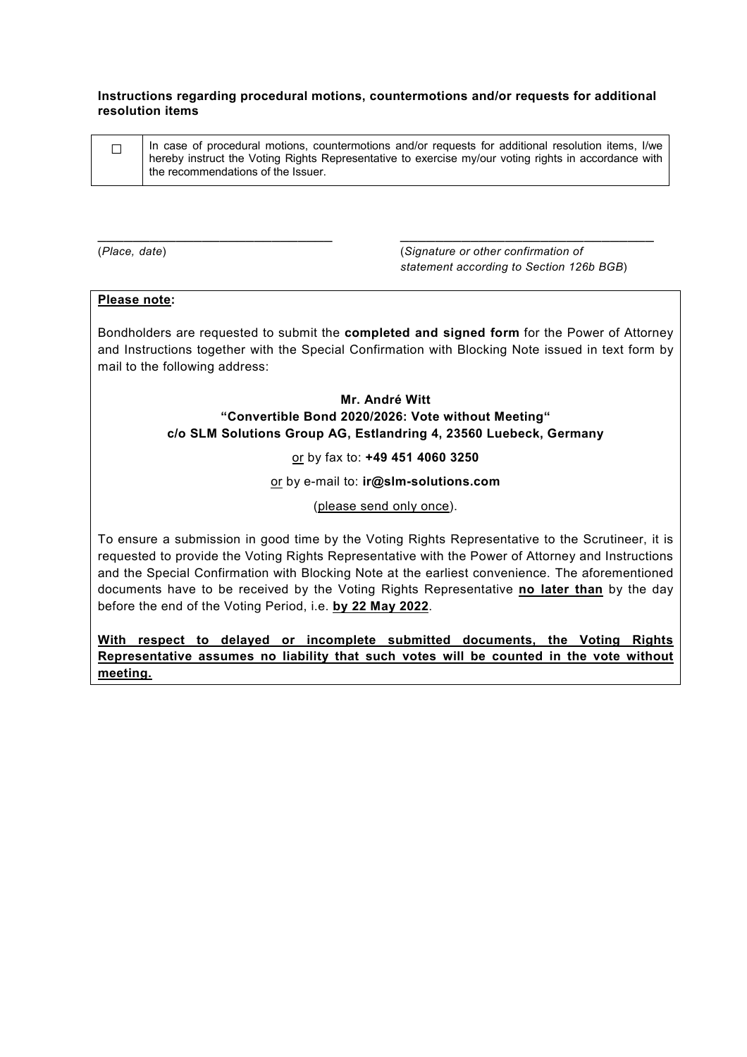#### **Instructions regarding procedural motions, countermotions and/or requests for additional resolution items**

| In case of procedural motions, countermotions and/or requests for additional resolution items, I/we<br>hereby instruct the Voting Rights Representative to exercise my/our voting rights in accordance with |
|-------------------------------------------------------------------------------------------------------------------------------------------------------------------------------------------------------------|
| the recommendations of the Issuer.                                                                                                                                                                          |

\_\_\_\_\_\_\_\_\_\_\_\_\_\_\_\_\_\_\_\_\_\_\_\_\_\_\_ \_\_\_\_\_\_\_\_\_\_\_\_\_\_\_\_\_\_\_\_\_\_\_\_\_\_\_\_\_

(*Place, date*) (*Signature or other confirmation of statement according to Section 126b BGB*)

## **Please note:**

Bondholders are requested to submit the **completed and signed form** for the Power of Attorney and Instructions together with the Special Confirmation with Blocking Note issued in text form by mail to the following address:

## **Mr. André Witt "Convertible Bond 2020/2026: Vote without Meeting" c/o SLM Solutions Group AG, Estlandring 4, 23560 Luebeck, Germany**

or by fax to: **+49 451 4060 3250** 

or by e-mail to: **ir@slm-solutions.com** 

(please send only once).

To ensure a submission in good time by the Voting Rights Representative to the Scrutineer, it is requested to provide the Voting Rights Representative with the Power of Attorney and Instructions and the Special Confirmation with Blocking Note at the earliest convenience. The aforementioned documents have to be received by the Voting Rights Representative **no later than** by the day before the end of the Voting Period, i.e. **by 22 May 2022**.

**With respect to delayed or incomplete submitted documents, the Voting Rights Representative assumes no liability that such votes will be counted in the vote without meeting.**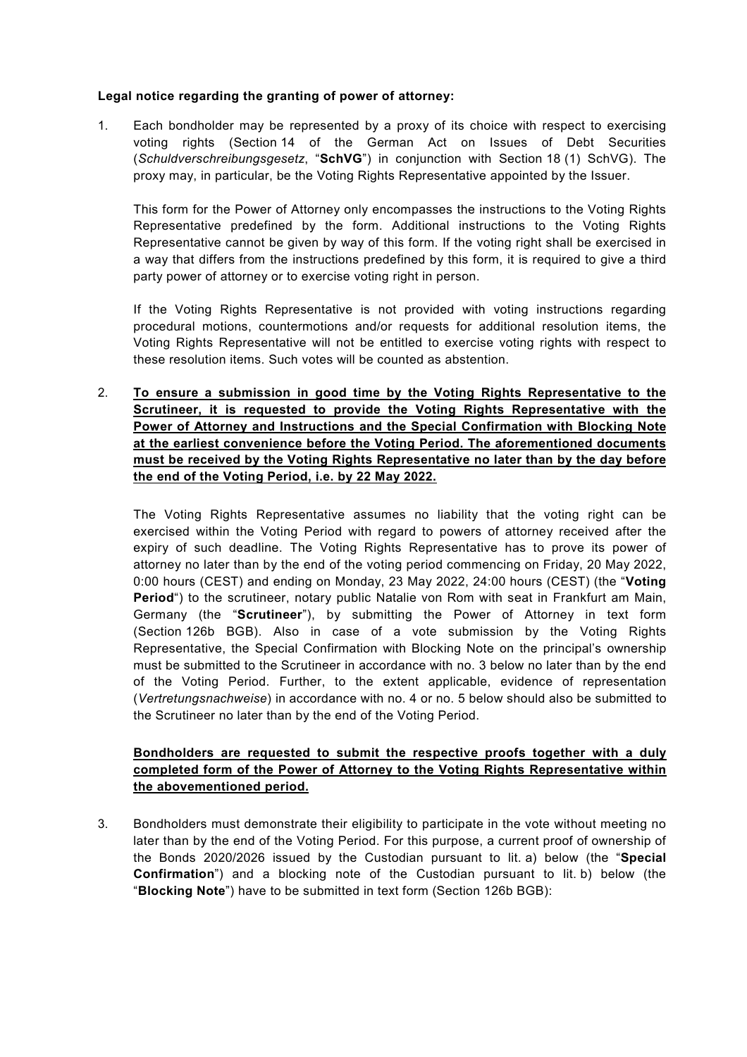### **Legal notice regarding the granting of power of attorney:**

1. Each bondholder may be represented by a proxy of its choice with respect to exercising voting rights (Section 14 of the German Act on Issues of Debt Securities (*Schuldverschreibungsgesetz*, "**SchVG**") in conjunction with Section 18 (1) SchVG). The proxy may, in particular, be the Voting Rights Representative appointed by the Issuer.

This form for the Power of Attorney only encompasses the instructions to the Voting Rights Representative predefined by the form. Additional instructions to the Voting Rights Representative cannot be given by way of this form. If the voting right shall be exercised in a way that differs from the instructions predefined by this form, it is required to give a third party power of attorney or to exercise voting right in person.

If the Voting Rights Representative is not provided with voting instructions regarding procedural motions, countermotions and/or requests for additional resolution items, the Voting Rights Representative will not be entitled to exercise voting rights with respect to these resolution items. Such votes will be counted as abstention.

2. **To ensure a submission in good time by the Voting Rights Representative to the Scrutineer, it is requested to provide the Voting Rights Representative with the Power of Attorney and Instructions and the Special Confirmation with Blocking Note at the earliest convenience before the Voting Period. The aforementioned documents must be received by the Voting Rights Representative no later than by the day before the end of the Voting Period, i.e. by 22 May 2022.** 

The Voting Rights Representative assumes no liability that the voting right can be exercised within the Voting Period with regard to powers of attorney received after the expiry of such deadline. The Voting Rights Representative has to prove its power of attorney no later than by the end of the voting period commencing on Friday, 20 May 2022, 0:00 hours (CEST) and ending on Monday, 23 May 2022, 24:00 hours (CEST) (the "**Voting Period**") to the scrutineer, notary public Natalie von Rom with seat in Frankfurt am Main, Germany (the "**Scrutineer**"), by submitting the Power of Attorney in text form (Section 126b BGB). Also in case of a vote submission by the Voting Rights Representative, the Special Confirmation with Blocking Note on the principal's ownership must be submitted to the Scrutineer in accordance with no. 3 below no later than by the end of the Voting Period. Further, to the extent applicable, evidence of representation (*Vertretungsnachweise*) in accordance with no. 4 or no. 5 below should also be submitted to the Scrutineer no later than by the end of the Voting Period.

## **Bondholders are requested to submit the respective proofs together with a duly completed form of the Power of Attorney to the Voting Rights Representative within the abovementioned period.**

3. Bondholders must demonstrate their eligibility to participate in the vote without meeting no later than by the end of the Voting Period. For this purpose, a current proof of ownership of the Bonds 2020/2026 issued by the Custodian pursuant to lit. a) below (the "**Special Confirmation**") and a blocking note of the Custodian pursuant to lit. b) below (the "**Blocking Note**") have to be submitted in text form (Section 126b BGB):